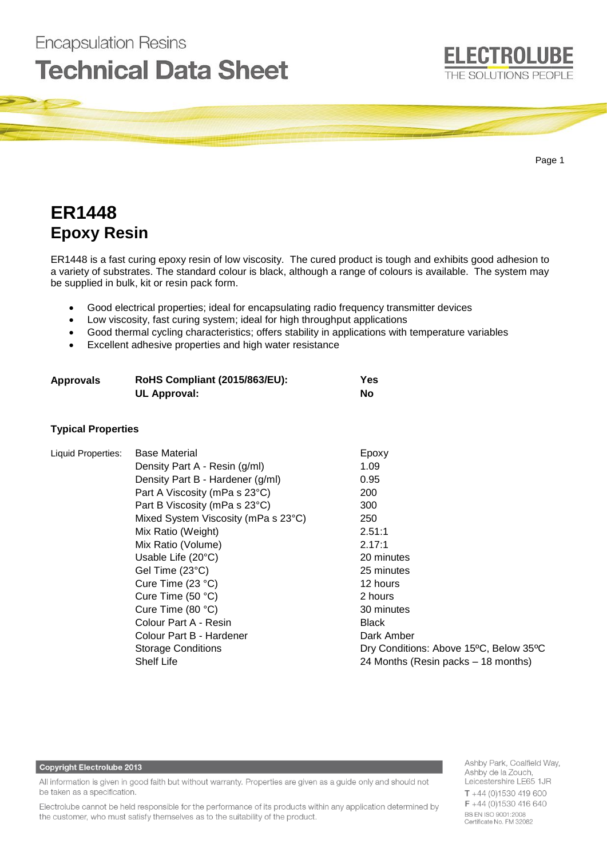

# **ER1448 Epoxy Resin**

**Encapsulation Resins** 

ER1448 is a fast curing epoxy resin of low viscosity. The cured product is tough and exhibits good adhesion to a variety of substrates. The standard colour is black, although a range of colours is available. The system may be supplied in bulk, kit or resin pack form.

- Good electrical properties; ideal for encapsulating radio frequency transmitter devices
- Low viscosity, fast curing system; ideal for high throughput applications
- Good thermal cycling characteristics; offers stability in applications with temperature variables
- Excellent adhesive properties and high water resistance

| Approvals | RoHS Compliant (2015/863/EU): | Yes |
|-----------|-------------------------------|-----|
|           | UL Approval:                  | No  |

# **Typical Properties**

| Liquid Properties: | <b>Base Material</b>                | Epoxy                                  |
|--------------------|-------------------------------------|----------------------------------------|
|                    | Density Part A - Resin (g/ml)       | 1.09                                   |
|                    | Density Part B - Hardener (g/ml)    | 0.95                                   |
|                    | Part A Viscosity (mPa s 23°C)       | 200                                    |
|                    | Part B Viscosity (mPa s 23°C)       | 300                                    |
|                    | Mixed System Viscosity (mPa s 23°C) | 250                                    |
|                    | Mix Ratio (Weight)                  | 2.51:1                                 |
|                    | Mix Ratio (Volume)                  | 2.17:1                                 |
|                    | Usable Life $(20^{\circ}C)$         | 20 minutes                             |
|                    | Gel Time (23°C)                     | 25 minutes                             |
|                    | Cure Time $(23 °C)$                 | 12 hours                               |
|                    | Cure Time $(50 °C)$                 | 2 hours                                |
|                    | Cure Time (80 °C)                   | 30 minutes                             |
|                    | Colour Part A - Resin               | <b>Black</b>                           |
|                    | Colour Part B - Hardener            | Dark Amber                             |
|                    | <b>Storage Conditions</b>           | Dry Conditions: Above 15°C, Below 35°C |
|                    | <b>Shelf Life</b>                   | 24 Months (Resin packs – 18 months)    |

#### **Copyright Electrolube 2013**

All information is given in good faith but without warranty. Properties are given as a guide only and should not be taken as a specification.

Electrolube cannot be held responsible for the performance of its products within any application determined by the customer, who must satisfy themselves as to the suitability of the product.

Ashby Park, Coalfield Way, Ashby de la Zouch, Leicestershire LE65 1JR  $T + 44(0)1530419600$  $F + 44(0)1530416640$ BS EN ISO 9001:2008 Certificate No. FM 32082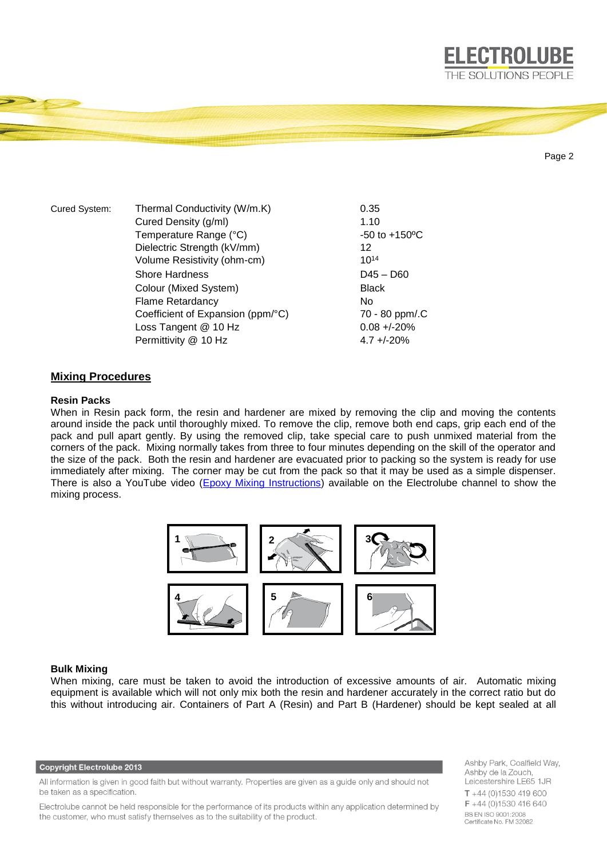

Page 2

| Cured System: | Thermal Conductivity (W/m.K)      | 0.35                           |
|---------------|-----------------------------------|--------------------------------|
|               | Cured Density (g/ml)              | 1.10                           |
|               | Temperature Range (°C)            | $-50$ to $+150$ <sup>o</sup> C |
|               | Dielectric Strength (kV/mm)       | $12 \overline{ }$              |
|               | Volume Resistivity (ohm-cm)       | $10^{14}$                      |
|               | <b>Shore Hardness</b>             | $D45 - D60$                    |
|               | Colour (Mixed System)             | <b>Black</b>                   |
|               | <b>Flame Retardancy</b>           | No                             |
|               | Coefficient of Expansion (ppm/°C) | 70 - 80 ppm/.C                 |
|               | Loss Tangent @ 10 Hz              | $0.08 + -20%$                  |
|               | Permittivity @ 10 Hz              | $4.7 + -20%$                   |

# **Mixing Procedures**

#### **Resin Packs**

When in Resin pack form, the resin and hardener are mixed by removing the clip and moving the contents around inside the pack until thoroughly mixed. To remove the clip, remove both end caps, grip each end of the pack and pull apart gently. By using the removed clip, take special care to push unmixed material from the corners of the pack. Mixing normally takes from three to four minutes depending on the skill of the operator and the size of the pack. Both the resin and hardener are evacuated prior to packing so the system is ready for use immediately after mixing. The corner may be cut from the pack so that it may be used as a simple dispenser. There is also a YouTube video [\(Epoxy Mixing Instructions\)](https://www.youtube.com/watch?v=EEoWffhmjQw) available on the Electrolube channel to show the mixing process.



### **Bulk Mixing**

When mixing, care must be taken to avoid the introduction of excessive amounts of air. Automatic mixing equipment is available which will not only mix both the resin and hardener accurately in the correct ratio but do this without introducing air. Containers of Part A (Resin) and Part B (Hardener) should be kept sealed at all

#### **Copyright Electrolube 2013**

All information is given in good faith but without warranty. Properties are given as a guide only and should not be taken as a specification.

Electrolube cannot be held responsible for the performance of its products within any application determined by the customer, who must satisfy themselves as to the suitability of the product.

Ashby Park, Coalfield Way, Ashby de la Zouch, Leicestershire LE65 1JR  $T + 44(0)1530419600$ F +44 (0)1530 416 640 BS EN ISO 9001:2008 Certificate No. FM 32082